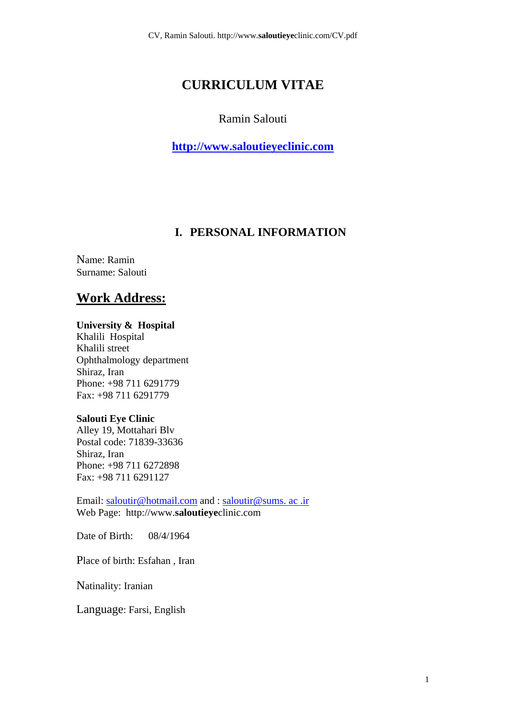# **CURRICULUM VITAE**

### Ramin Salouti

**http://www.saloutieyeclinic.com**

## **I. PERSONAL INFORMATION**

Name: Ramin Surname: Salouti

# **Work Address:**

#### **University & Hospital**

Khalili Hospital Khalili street Ophthalmology department Shiraz, Iran Phone: +98 711 6291779 Fax: +98 711 6291779

#### **Salouti Eye Clinic**

Alley 19, Mottahari Blv Postal code: 71839-33636 Shiraz, Iran Phone: +98 711 6272898 Fax: +98 711 6291127

Email: saloutir@hotmail.com and : saloutir@sums. ac .ir Web Page: http://www.**saloutieye**clinic.com

Date of Birth: 08/4/1964

Place of birth: Esfahan , Iran

Natinality: Iranian

Language: Farsi, English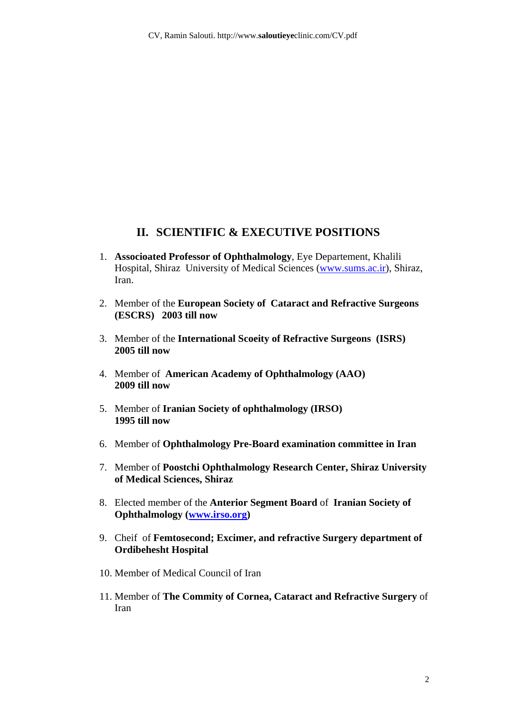### **II. SCIENTIFIC & EXECUTIVE POSITIONS**

- 1. **Associoated Professor of Ophthalmology**, Eye Departement, Khalili Hospital, Shiraz University of Medical Sciences (www.sums.ac.ir), Shiraz, Iran.
- 2. Member of the **European Society of Cataract and Refractive Surgeons (ESCRS) 2003 till now**
- 3. Member of the **International Scoeity of Refractive Surgeons (ISRS) 2005 till now**
- 4. Member of **American Academy of Ophthalmology (AAO) 2009 till now**
- 5. Member of **Iranian Society of ophthalmology (IRSO) 1995 till now**
- 6. Member of **Ophthalmology Pre-Board examination committee in Iran**
- 7. Member of **Poostchi Ophthalmology Research Center, Shiraz University of Medical Sciences, Shiraz**
- 8. Elected member of the **Anterior Segment Board** of **Iranian Society of Ophthalmology (www.irso.org)**
- 9. Cheif of **Femtosecond; Excimer, and refractive Surgery department of Ordibehesht Hospital**
- 10. Member of Medical Council of Iran
- 11. Member of **The Commity of Cornea, Cataract and Refractive Surgery** of Iran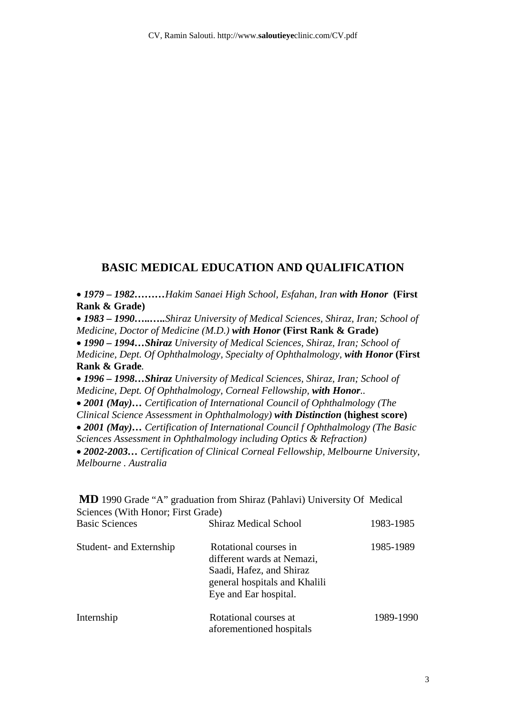### **BASIC MEDICAL EDUCATION AND QUALIFICATION**

• *1979 – 1982………Hakim Sanaei High School, Esfahan, Iran with Honor* **(First Rank & Grade)** 

• *1983 – 1990…..…..Shiraz University of Medical Sciences, Shiraz, Iran; School of Medicine, Doctor of Medicine (M.D.) with Honor* **(First Rank & Grade)** 

• *1990 – 1994…Shiraz University of Medical Sciences, Shiraz, Iran; School of Medicine, Dept. Of Ophthalmology, Specialty of Ophthalmology, with Honor* **(First Rank & Grade***.* 

• *1996 – 1998…Shiraz University of Medical Sciences, Shiraz, Iran; School of Medicine, Dept. Of Ophthalmology, Corneal Fellowship, with Honor..* 

• *2001 (May)… Certification of International Council of Ophthalmology (The* 

*Clinical Science Assessment in Ophthalmology) with Distinction* **(highest score)** 

• *2001 (May)… Certification of International Council f Ophthalmology (The Basic* 

*Sciences Assessment in Ophthalmology including Optics & Refraction)* 

• *2002-2003… Certification of Clinical Corneal Fellowship, Melbourne University, Melbourne . Australia* 

| Sciences (With Honor; First Grade) | <b>MD</b> 1990 Grade "A" graduation from Shiraz (Pahlavi) University Of Medical                                                           |           |
|------------------------------------|-------------------------------------------------------------------------------------------------------------------------------------------|-----------|
| <b>Basic Sciences</b>              | <b>Shiraz Medical School</b>                                                                                                              | 1983-1985 |
| Student- and Externship            | Rotational courses in<br>different wards at Nemazi,<br>Saadi, Hafez, and Shiraz<br>general hospitals and Khalili<br>Eye and Ear hospital. | 1985-1989 |
| Internship                         | Rotational courses at<br>aforementioned hospitals                                                                                         | 1989-1990 |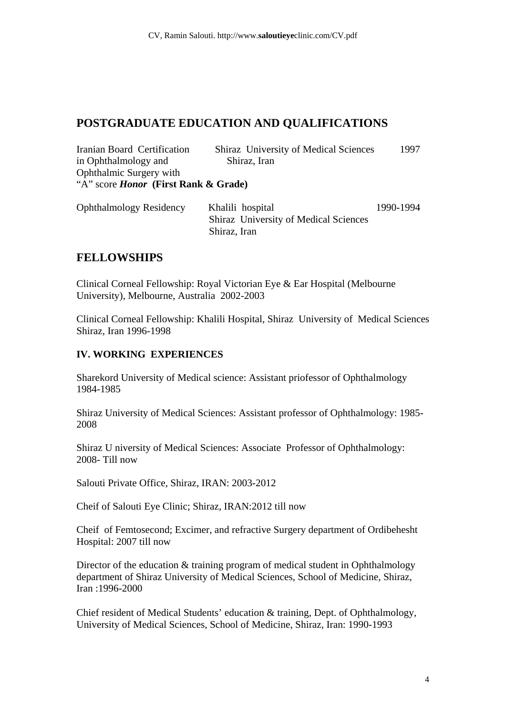## **POSTGRADUATE EDUCATION AND QUALIFICATIONS**

| Iranian Board Certification                 | <b>Shiraz</b> University of Medical Sciences | 1997            |
|---------------------------------------------|----------------------------------------------|-----------------|
| in Ophthalmology and                        | Shiraz, Iran                                 |                 |
| Ophthalmic Surgery with                     |                                              |                 |
| "A" score <i>Honor</i> (First Rank & Grade) |                                              |                 |
|                                             |                                              |                 |
| $0.1111$ m $11$ m $111111$                  |                                              | 1 A A A 1 A A 1 |

| <b>Ophthalmology Residency</b> | Khalili hospital                             | 1990-1994 |
|--------------------------------|----------------------------------------------|-----------|
|                                | <b>Shiraz</b> University of Medical Sciences |           |
|                                | Shiraz, Iran                                 |           |

## **FELLOWSHIPS**

Clinical Corneal Fellowship: Royal Victorian Eye & Ear Hospital (Melbourne University), Melbourne, Australia 2002-2003

Clinical Corneal Fellowship: Khalili Hospital, Shiraz University of Medical Sciences Shiraz, Iran 1996-1998

### **IV. WORKING EXPERIENCES**

Sharekord University of Medical science: Assistant priofessor of Ophthalmology 1984-1985

Shiraz University of Medical Sciences: Assistant professor of Ophthalmology: 1985- 2008

Shiraz U niversity of Medical Sciences: Associate Professor of Ophthalmology: 2008- Till now

Salouti Private Office, Shiraz, IRAN: 2003-2012

Cheif of Salouti Eye Clinic; Shiraz, IRAN:2012 till now

Cheif of Femtosecond; Excimer, and refractive Surgery department of Ordibehesht Hospital: 2007 till now

Director of the education & training program of medical student in Ophthalmology department of Shiraz University of Medical Sciences, School of Medicine, Shiraz, Iran :1996-2000

Chief resident of Medical Students' education & training, Dept. of Ophthalmology, University of Medical Sciences, School of Medicine, Shiraz, Iran: 1990-1993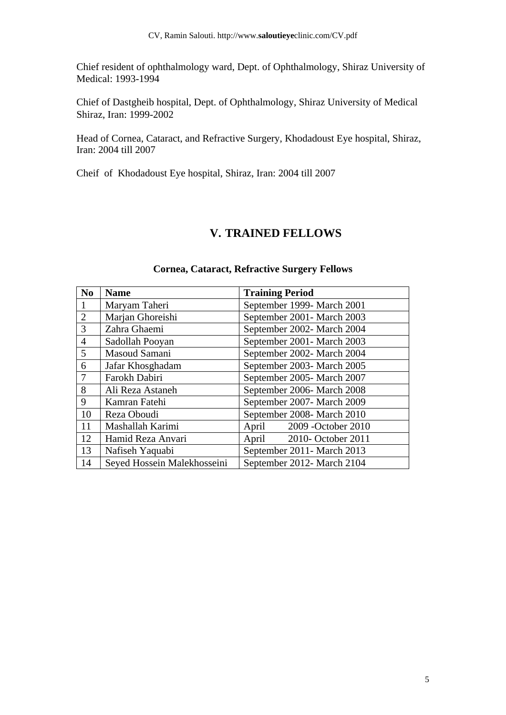Chief resident of ophthalmology ward, Dept. of Ophthalmology, Shiraz University of Medical: 1993-1994

Chief of Dastgheib hospital, Dept. of Ophthalmology, Shiraz University of Medical Shiraz, Iran: 1999-2002

Head of Cornea, Cataract, and Refractive Surgery, Khodadoust Eye hospital, Shiraz, Iran: 2004 till 2007

Cheif of Khodadoust Eye hospital, Shiraz, Iran: 2004 till 2007

### **V. TRAINED FELLOWS**

| N <sub>0</sub> | <b>Name</b>                 | <b>Training Period</b>       |
|----------------|-----------------------------|------------------------------|
|                | Maryam Taheri               | September 1999- March 2001   |
| $\overline{2}$ | Marjan Ghoreishi            | September 2001- March 2003   |
| 3              | Zahra Ghaemi                | September 2002- March 2004   |
| $\overline{4}$ | Sadollah Pooyan             | September 2001- March 2003   |
| 5              | Masoud Samani               | September 2002- March 2004   |
| 6              | Jafar Khosghadam            | September 2003- March 2005   |
| 7              | Farokh Dabiri               | September 2005-March 2007    |
| 8              | Ali Reza Astaneh            | September 2006-March 2008    |
| 9              | Kamran Fatehi               | September 2007- March 2009   |
| 10             | Reza Oboudi                 | September 2008- March 2010   |
| 11             | Mashallah Karimi            | 2009 - October 2010<br>April |
| 12             | Hamid Reza Anvari           | 2010- October 2011<br>April  |
| 13             | Nafiseh Yaquabi             | September 2011 - March 2013  |
| 14             | Seyed Hossein Malekhosseini | September 2012- March 2104   |

#### **Cornea, Cataract, Refractive Surgery Fellows**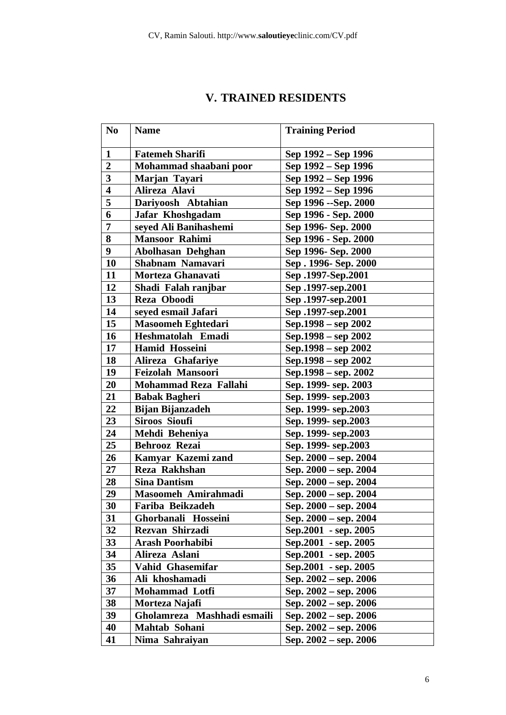|  |  | <b>V. TRAINED RESIDENTS</b> |
|--|--|-----------------------------|
|--|--|-----------------------------|

| N <sub>0</sub>          | <b>Name</b>                 | <b>Training Period</b>    |
|-------------------------|-----------------------------|---------------------------|
| $\mathbf{1}$            | <b>Fatemeh Sharifi</b>      | Sep 1992 – Sep 1996       |
| $\overline{2}$          | Mohammad shaabani poor      | Sep 1992 - Sep 1996       |
| $\overline{\mathbf{3}}$ | Marjan Tayari               | Sep 1992 – Sep 1996       |
| $\overline{\mathbf{4}}$ | Alireza Alavi               | Sep 1992 – Sep 1996       |
| $\overline{\mathbf{5}}$ | Dariyoosh Abtahian          | Sep 1996 -- Sep. 2000     |
| 6                       | Jafar Khoshgadam            | Sep 1996 - Sep. 2000      |
| $\overline{7}$          | seyed Ali Banihashemi       | Sep 1996- Sep. 2000       |
| 8                       | <b>Mansoor Rahimi</b>       | Sep 1996 - Sep. 2000      |
| 9 <sup>°</sup>          | Abolhasan Dehghan           | Sep 1996- Sep. 2000       |
| <b>10</b>               | Shabnam Namavari            | Sep. 1996- Sep. 2000      |
| 11                      | Morteza Ghanavati           | Sep.2001-Sep.2001         |
| 12                      | Shadi Falah ranjbar         | Sep.1997-sep.2001         |
| 13                      | Reza Oboodi                 | Sep.1997-sep.2001         |
| 14                      | seyed esmail Jafari         | Sep.1997-sep.2001         |
| 15                      | <b>Masoomeh Eghtedari</b>   | Sep.1998 – sep 2002       |
| 16                      | Heshmatolah Emadi           | Sep.1998 – sep 2002       |
| 17                      | <b>Hamid Hosseini</b>       | Sep.1998 – sep 2002       |
| 18                      | Alireza Ghafariye           | Sep.1998 – sep 2002       |
| 19                      | <b>Feizolah Mansoori</b>    | Sep.1998 – sep. 2002      |
| 20                      | Mohammad Reza Fallahi       | Sep. 1999- sep. 2003      |
| 21                      | <b>Babak Bagheri</b>        | Sep. 1999- sep. 2003      |
| 22                      | <b>Bijan Bijanzadeh</b>     | Sep. 1999- sep. 2003      |
| 23                      | <b>Siroos Sioufi</b>        | Sep. 1999- sep. 2003      |
| 24                      | Mehdi Beheniya              | Sep. 1999- sep. 2003      |
| 25                      | Behrooz Rezai               | Sep. 1999- sep. 2003      |
| 26                      | Kamyar Kazemi zand          | Sep. 2000 – sep. 2004     |
| 27                      | Reza Rakhshan               | Sep. 2000 – sep. 2004     |
| 28                      | <b>Sina Dantism</b>         | Sep. 2000 – sep. 2004     |
| 29                      | Masoomeh Amirahmadi         | Sep. 2000 – sep. 2004     |
| 30                      | Fariba Beikzadeh            | Sep. 2000 – sep. 2004     |
| 31                      | Ghorbanali Hosseini         | Sep. 2000 – sep. 2004     |
| 32                      | Rezvan Shirzadi             | Sep.2001 - sep. 2005      |
| 33                      | <b>Arash Poorhabibi</b>     | Sep.2001 - sep. 2005      |
| 34                      | Alireza Aslani              | Sep.2001 - sep. 2005      |
| 35                      | Vahid Ghasemifar            | Sep.2001 - sep. 2005      |
| 36                      | Ali khoshamadi              | Sep. 2002 – sep. 2006     |
| 37                      | <b>Mohammad Lotfi</b>       | Sep. 2002 – sep. 2006     |
| 38                      | Morteza Najafi              | Sep. $2002 -$ sep. $2006$ |
| 39                      | Gholamreza Mashhadi esmaili | Sep. 2002 – sep. 2006     |
| 40                      | Mahtab Sohani               | Sep. $2002 -$ sep. $2006$ |
| 41                      | Nima Sahraiyan              | Sep. $2002 -$ sep. $2006$ |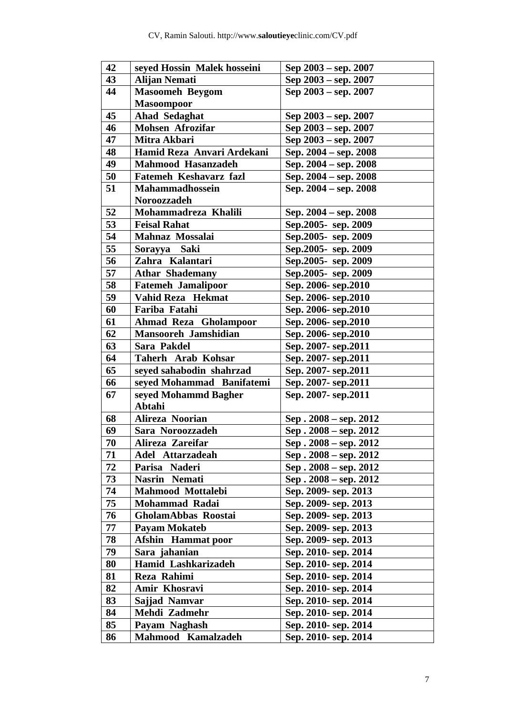| 42 | seyed Hossin Malek hosseini  | Sep 2003 – sep. 2007     |
|----|------------------------------|--------------------------|
| 43 | <b>Alijan Nemati</b>         | Sep 2003 – sep. 2007     |
| 44 | <b>Masoomeh Beygom</b>       | Sep $2003 -$ sep. $2007$ |
|    | <b>Masoompoor</b>            |                          |
| 45 | Ahad Sedaghat                | Sep 2003 – sep. 2007     |
| 46 | <b>Mohsen Afrozifar</b>      | Sep 2003 – sep. 2007     |
| 47 | Mitra Akbari                 | Sep 2003 – sep. 2007     |
| 48 | Hamid Reza Anvari Ardekani   | Sep. 2004 – sep. 2008    |
| 49 | <b>Mahmood Hasanzadeh</b>    | Sep. 2004 – sep. 2008    |
| 50 | Fatemeh Keshavarz fazl       | Sep. 2004 – sep. 2008    |
| 51 | <b>Mahammadhossein</b>       | Sep. 2004 – sep. 2008    |
|    | Noroozzadeh                  |                          |
| 52 | Mohammadreza Khalili         | Sep. 2004 – sep. 2008    |
| 53 | <b>Feisal Rahat</b>          | Sep. 2005- sep. 2009     |
| 54 | Mahnaz Mossalai              | Sep.2005- sep. 2009      |
| 55 | Sorayya Saki                 | Sep.2005- sep. 2009      |
| 56 | Zahra Kalantari              | Sep. 2005- sep. 2009     |
| 57 | <b>Athar Shademany</b>       | Sep. 2005- sep. 2009     |
| 58 | <b>Fatemeh Jamalipoor</b>    | Sep. 2006- sep. 2010     |
| 59 | Vahid Reza Hekmat            | Sep. 2006- sep. 2010     |
| 60 | Fariba Fatahi                | Sep. 2006- sep. 2010     |
| 61 | <b>Ahmad Reza Gholampoor</b> | Sep. 2006- sep. 2010     |
| 62 | <b>Mansooreh Jamshidian</b>  | Sep. 2006- sep. 2010     |
| 63 | Sara Pakdel                  | Sep. 2007-sep.2011       |
| 64 | Taherh Arab Kohsar           | Sep. 2007- sep. 2011     |
| 65 | seyed sahabodin shahrzad     | Sep. 2007-sep.2011       |
| 66 | seved Mohammad Banifatemi    | Sep. 2007- sep. 2011     |
| 67 | seyed Mohammd Bagher         | Sep. 2007-sep.2011       |
|    | Abtahi                       |                          |
| 68 | Alireza Noorian              | $Sep.2008 - sep.2012$    |
| 69 | Sara Noroozzadeh             | Sep. 2008 - sep. 2012    |
| 70 | Alireza Zareifar             | Sep. 2008 - sep. 2012    |
| 71 | Adel Attarzadeah             | $Sep.2008 - sep.2012$    |
| 72 | Parisa Naderi                | $Sep.2008 - sep.2012$    |
| 73 | Nasrin Nemati                | $Sep.2008 - sep.2012$    |
| 74 | Mahmood Mottalebi            | Sep. 2009- sep. 2013     |
| 75 | Mohammad Radai               | Sep. 2009- sep. 2013     |
| 76 | GholamAbbas Roostai          | Sep. 2009- sep. 2013     |
| 77 | <b>Payam Mokateb</b>         | Sep. 2009- sep. 2013     |
| 78 | <b>Afshin</b> Hammat poor    | Sep. 2009- sep. 2013     |
| 79 | Sara jahanian                | Sep. 2010- sep. 2014     |
| 80 | Hamid Lashkarizadeh          | Sep. 2010- sep. 2014     |
| 81 | Reza Rahimi                  | Sep. 2010- sep. 2014     |
| 82 | Amir Khosravi                | Sep. 2010- sep. 2014     |
| 83 | Sajjad Namvar                | Sep. 2010- sep. 2014     |
| 84 | Mehdi Zadmehr                | Sep. 2010- sep. 2014     |
| 85 | Payam Naghash                | Sep. 2010- sep. 2014     |
| 86 | Mahmood Kamalzadeh           | Sep. 2010- sep. 2014     |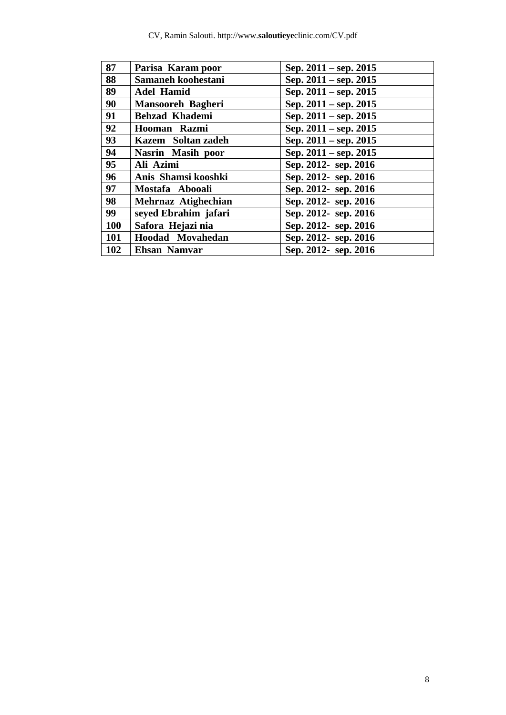| 87  | Parisa Karam poor        | Sep. $2011 -$ sep. $2015$ |
|-----|--------------------------|---------------------------|
| 88  | Samaneh koohestani       | Sep. $2011 -$ sep. $2015$ |
| 89  | <b>Adel Hamid</b>        | Sep. $2011 -$ sep. $2015$ |
| 90  | <b>Mansooreh Bagheri</b> | Sep. $2011 -$ sep. $2015$ |
| 91  | <b>Behzad Khademi</b>    | Sep. 2011 – sep. 2015     |
| 92  | Hooman Razmi             | Sep. $2011 -$ sep. $2015$ |
| 93  | Kazem Soltan zadeh       | Sep. $2011 -$ sep. $2015$ |
| 94  | Nasrin Masih poor        | Sep. $2011 -$ sep. $2015$ |
| 95  | Ali Azimi                | Sep. 2012- sep. 2016      |
| 96  | Anis Shamsi kooshki      | Sep. 2012- sep. 2016      |
| 97  | Mostafa Abooali          | Sep. 2012- sep. 2016      |
| 98  | Mehrnaz Atighechian      | Sep. 2012- sep. 2016      |
| 99  | seyed Ebrahim jafari     | Sep. 2012- sep. 2016      |
| 100 | Safora Hejazi nia        | Sep. 2012- sep. 2016      |
| 101 | Hoodad Movahedan         | Sep. 2012- sep. 2016      |
| 102 | <b>Ehsan Namvar</b>      | Sep. 2012- sep. 2016      |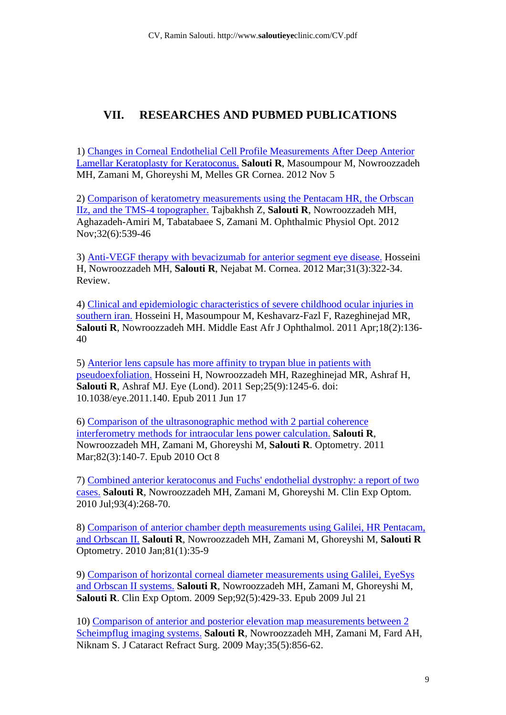# **VII. RESEARCHES AND PUBMED PUBLICATIONS**

1) Changes in Corneal Endothelial Cell Profile Measurements After Deep Anterior Lamellar Keratoplasty for Keratoconus. **Salouti R**, Masoumpour M, Nowroozzadeh MH, Zamani M, Ghoreyshi M, Melles GR Cornea. 2012 Nov 5

2) Comparison of keratometry measurements using the Pentacam HR, the Orbscan IIz, and the TMS-4 topographer. Tajbakhsh Z, **Salouti R**, Nowroozzadeh MH, Aghazadeh-Amiri M, Tabatabaee S, Zamani M. Ophthalmic Physiol Opt. 2012 Nov;32(6):539-46

3) Anti-VEGF therapy with bevacizumab for anterior segment eye disease. Hosseini H, Nowroozzadeh MH, **Salouti R**, Nejabat M. Cornea. 2012 Mar;31(3):322-34. Review.

4) Clinical and epidemiologic characteristics of severe childhood ocular injuries in southern iran. Hosseini H, Masoumpour M, Keshavarz-Fazl F, Razeghinejad MR, **Salouti R**, Nowroozzadeh MH. Middle East Afr J Ophthalmol. 2011 Apr;18(2):136- 40

5) Anterior lens capsule has more affinity to trypan blue in patients with pseudoexfoliation. Hosseini H, Nowroozzadeh MH, Razeghinejad MR, Ashraf H, **Salouti R**, Ashraf MJ. Eye (Lond). 2011 Sep;25(9):1245-6. doi: 10.1038/eye.2011.140. Epub 2011 Jun 17

6) Comparison of the ultrasonographic method with 2 partial coherence interferometry methods for intraocular lens power calculation. **Salouti R**, Nowroozzadeh MH, Zamani M, Ghoreyshi M, **Salouti R**. Optometry. 2011 Mar;82(3):140-7. Epub 2010 Oct 8

7) Combined anterior keratoconus and Fuchs' endothelial dystrophy: a report of two cases. **Salouti R**, Nowroozzadeh MH, Zamani M, Ghoreyshi M. Clin Exp Optom. 2010 Jul;93(4):268-70.

8) Comparison of anterior chamber depth measurements using Galilei, HR Pentacam, and Orbscan II. **Salouti R**, Nowroozzadeh MH, Zamani M, Ghoreyshi M, **Salouti R** Optometry. 2010 Jan;81(1):35-9

9) Comparison of horizontal corneal diameter measurements using Galilei, EyeSys and Orbscan II systems. **Salouti R**, Nowroozzadeh MH, Zamani M, Ghoreyshi M, **Salouti R**. Clin Exp Optom. 2009 Sep;92(5):429-33. Epub 2009 Jul 21

10) Comparison of anterior and posterior elevation map measurements between 2 Scheimpflug imaging systems. **Salouti R**, Nowroozzadeh MH, Zamani M, Fard AH, Niknam S. J Cataract Refract Surg. 2009 May;35(5):856-62.